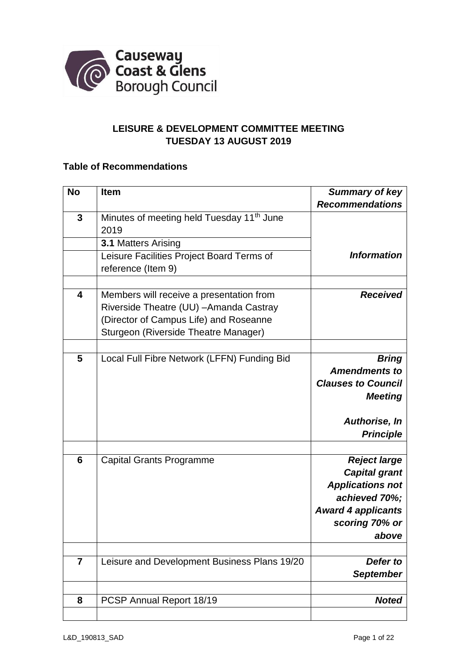

## **LEISURE & DEVELOPMENT COMMITTEE MEETING TUESDAY 13 AUGUST 2019**

## **Table of Recommendations**

| <b>No</b>      | <b>Item</b>                                           | <b>Summary of key</b>                       |
|----------------|-------------------------------------------------------|---------------------------------------------|
|                |                                                       | <b>Recommendations</b>                      |
| 3              | Minutes of meeting held Tuesday 11 <sup>th</sup> June |                                             |
|                | 2019                                                  |                                             |
|                | <b>3.1 Matters Arising</b>                            |                                             |
|                | Leisure Facilities Project Board Terms of             | <b>Information</b>                          |
|                | reference (Item 9)                                    |                                             |
|                |                                                       |                                             |
| 4              | Members will receive a presentation from              | <b>Received</b>                             |
|                | Riverside Theatre (UU) - Amanda Castray               |                                             |
|                | (Director of Campus Life) and Roseanne                |                                             |
|                | Sturgeon (Riverside Theatre Manager)                  |                                             |
|                |                                                       |                                             |
| 5              | Local Full Fibre Network (LFFN) Funding Bid           | <b>Bring</b>                                |
|                |                                                       | <b>Amendments to</b>                        |
|                |                                                       | <b>Clauses to Council</b>                   |
|                |                                                       | <b>Meeting</b>                              |
|                |                                                       |                                             |
|                |                                                       | <b>Authorise, In</b>                        |
|                |                                                       | <b>Principle</b>                            |
| 6              |                                                       |                                             |
|                | Capital Grants Programme                              | <b>Reject large</b><br><b>Capital grant</b> |
|                |                                                       | <b>Applications not</b>                     |
|                |                                                       | achieved 70%;                               |
|                |                                                       | <b>Award 4 applicants</b>                   |
|                |                                                       | scoring 70% or                              |
|                |                                                       | above                                       |
|                |                                                       |                                             |
| $\overline{7}$ | Leisure and Development Business Plans 19/20          | Defer to                                    |
|                |                                                       | <b>September</b>                            |
|                |                                                       |                                             |
| 8              | PCSP Annual Report 18/19                              | <b>Noted</b>                                |
|                |                                                       |                                             |